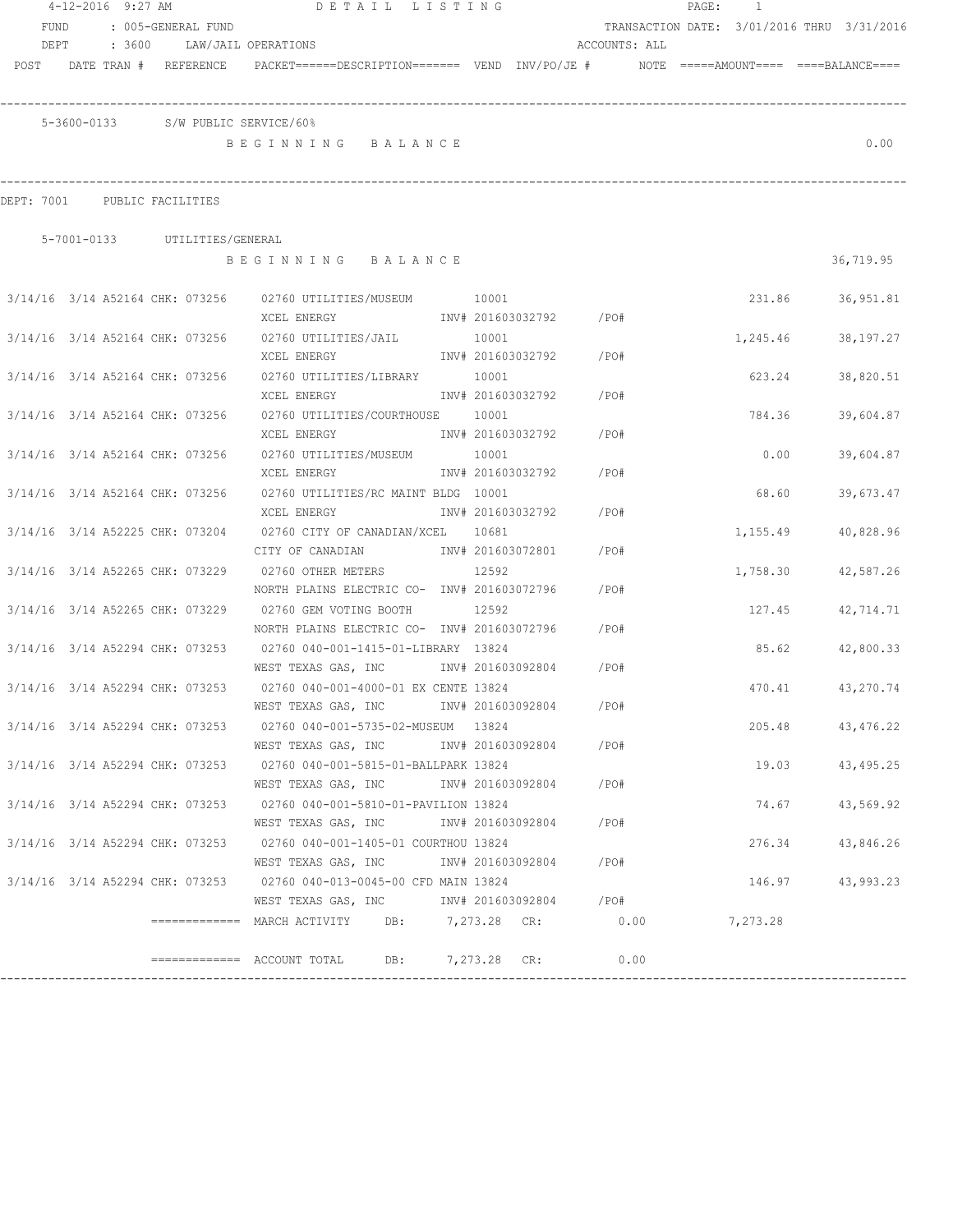|                              | 4-12-2016 9:27 AM |                                 |                                    | DETAIL LISTING                                                                                                  |       |                        |         |               | PAGE: | $\overline{1}$                             |                  |
|------------------------------|-------------------|---------------------------------|------------------------------------|-----------------------------------------------------------------------------------------------------------------|-------|------------------------|---------|---------------|-------|--------------------------------------------|------------------|
| <b>FUND</b>                  |                   | : 005-GENERAL FUND              |                                    |                                                                                                                 |       |                        |         |               |       | TRANSACTION DATE: 3/01/2016 THRU 3/31/2016 |                  |
| DEPT                         | : 3600            |                                 | LAW/JAIL OPERATIONS                |                                                                                                                 |       |                        |         | ACCOUNTS: ALL |       |                                            |                  |
|                              |                   |                                 |                                    | POST DATE TRAN # REFERENCE PACKET======DESCRIPTION======= VEND INV/PO/JE # NOTE =====AMOUNT==== ====BALANCE==== |       |                        |         |               |       |                                            |                  |
|                              |                   |                                 |                                    |                                                                                                                 |       |                        |         |               |       |                                            |                  |
|                              |                   |                                 |                                    |                                                                                                                 |       |                        |         |               |       |                                            |                  |
|                              |                   |                                 | 5-3600-0133 S/W PUBLIC SERVICE/60% |                                                                                                                 |       |                        |         |               |       |                                            |                  |
|                              |                   |                                 |                                    | BEGINNING BALANCE                                                                                               |       |                        |         |               |       |                                            | 0.00             |
|                              |                   |                                 |                                    |                                                                                                                 |       |                        |         |               |       |                                            |                  |
| DEPT: 7001 PUBLIC FACILITIES |                   |                                 |                                    |                                                                                                                 |       |                        |         |               |       |                                            |                  |
|                              |                   |                                 |                                    |                                                                                                                 |       |                        |         |               |       |                                            |                  |
|                              |                   | 5-7001-0133 UTILITIES/GENERAL   |                                    |                                                                                                                 |       |                        |         |               |       |                                            |                  |
|                              |                   |                                 |                                    | BEGINNING BALANCE                                                                                               |       |                        |         |               |       |                                            | 36,719.95        |
|                              |                   |                                 |                                    | 3/14/16 3/14 A52164 CHK: 073256 02760 UTILITIES/MUSEUM 10001                                                    |       |                        |         |               |       | 231.86                                     | 36,951.81        |
|                              |                   |                                 |                                    | XCEL ENERGY                                                                                                     |       | INV# 201603032792 /PO# |         |               |       |                                            |                  |
|                              |                   | 3/14/16 3/14 A52164 CHK: 073256 |                                    | 02760 UTILITIES/JAIL                                                                                            | 10001 |                        |         |               |       | 1,245.46                                   | 38,197.27        |
|                              |                   |                                 | XCEL ENERGY                        |                                                                                                                 |       | INV# 201603032792 /PO# |         |               |       |                                            |                  |
|                              |                   | 3/14/16 3/14 A52164 CHK: 073256 |                                    | 02760 UTILITIES/LIBRARY 10001                                                                                   |       |                        |         |               |       | 623.24                                     | 38,820.51        |
|                              |                   |                                 | XCEL ENERGY                        |                                                                                                                 |       | INV# 201603032792      | $/$ PO# |               |       |                                            |                  |
|                              |                   | 3/14/16 3/14 A52164 CHK: 073256 |                                    | 02760 UTILITIES/COURTHOUSE 10001                                                                                |       |                        |         |               |       | 784.36                                     | 39,604.87        |
|                              |                   |                                 | XCEL ENERGY                        |                                                                                                                 |       | INV# 201603032792      | /PO#    |               |       |                                            |                  |
|                              |                   | 3/14/16 3/14 A52164 CHK: 073256 |                                    | 02760 UTILITIES/MUSEUM                                                                                          | 10001 |                        |         |               |       | 0.00                                       | 39,604.87        |
|                              |                   |                                 | XCEL ENERGY                        |                                                                                                                 |       | INV# 201603032792      | /PO#    |               |       |                                            |                  |
|                              |                   | 3/14/16 3/14 A52164 CHK: 073256 |                                    | 02760 UTILITIES/RC MAINT BLDG 10001                                                                             |       |                        |         |               |       | 68.60                                      | 39,673.47        |
|                              |                   |                                 | XCEL ENERGY                        |                                                                                                                 |       | INV# 201603032792      | /PO#    |               |       |                                            |                  |
|                              |                   | 3/14/16 3/14 A52225 CHK: 073204 |                                    | 02760 CITY OF CANADIAN/XCEL 10681                                                                               |       |                        |         |               |       | 1,155.49                                   | 40,828.96        |
|                              |                   |                                 |                                    | CITY OF CANADIAN INV# 201603072801                                                                              |       |                        | /PO#    |               |       |                                            |                  |
|                              |                   | 3/14/16 3/14 A52265 CHK: 073229 | 02760 OTHER METERS                 |                                                                                                                 | 12592 |                        |         |               |       | 1,758.30                                   | 42,587.26        |
|                              |                   |                                 |                                    | NORTH PLAINS ELECTRIC CO- INV# 201603072796                                                                     |       |                        | $/$ PO# |               |       |                                            |                  |
|                              |                   | 3/14/16 3/14 A52265 CHK: 073229 |                                    | 02760 GEM VOTING BOOTH                                                                                          | 12592 |                        |         |               |       | 127.45                                     | 42,714.71        |
|                              |                   |                                 |                                    | NORTH PLAINS ELECTRIC CO- INV# 201603072796                                                                     |       |                        | /PO#    |               |       |                                            |                  |
|                              |                   | 3/14/16 3/14 A52294 CHK: 073253 |                                    | 02760 040-001-1415-01-LIBRARY 13824                                                                             |       |                        |         |               |       | 85.62                                      | 42,800.33        |
|                              |                   |                                 |                                    | WEST TEXAS GAS, INC 1NV# 201603092804 / PO#                                                                     |       |                        |         |               |       |                                            |                  |
|                              |                   | 3/14/16 3/14 A52294 CHK: 073253 |                                    | 02760 040-001-4000-01 EX CENTE 13824                                                                            |       |                        |         |               |       | 470.41                                     | 43,270.74        |
|                              |                   |                                 |                                    | WEST TEXAS GAS, INC 1NV# 201603092804 / PO#                                                                     |       |                        |         |               |       |                                            |                  |
|                              |                   |                                 |                                    | 3/14/16 3/14 A52294 CHK: 073253 02760 040-001-5735-02-MUSEUM 13824                                              |       |                        |         |               |       |                                            | 205.48 43,476.22 |
|                              |                   |                                 |                                    | WEST TEXAS GAS, INC                                                                                             |       | INV# 201603092804 /PO# |         |               |       |                                            |                  |
|                              |                   |                                 |                                    | 3/14/16 3/14 A52294 CHK: 073253 02760 040-001-5815-01-BALLPARK 13824                                            |       |                        |         |               |       |                                            | 19.03 43,495.25  |
|                              |                   |                                 |                                    | WEST TEXAS GAS, INC                                                                                             |       | INV# 201603092804 /PO# |         |               |       |                                            |                  |
|                              |                   |                                 |                                    | 3/14/16 3/14 A52294 CHK: 073253 02760 040-001-5810-01-PAVILION 13824                                            |       |                        |         |               |       |                                            | 74.67 43,569.92  |
|                              |                   |                                 |                                    | WEST TEXAS GAS, INC METALL 201603092804                                                                         |       |                        | /PO#    |               |       |                                            |                  |
|                              |                   |                                 |                                    | 3/14/16 3/14 A52294 CHK: 073253 02760 040-001-1405-01 COURTHOU 13824                                            |       |                        |         |               |       | 276.34                                     | 43,846.26        |
|                              |                   |                                 |                                    | WEST TEXAS GAS, INC MONTH 201603092804 / PO#                                                                    |       |                        |         |               |       |                                            |                  |
|                              |                   |                                 |                                    | 3/14/16 3/14 A52294 CHK: 073253 02760 040-013-0045-00 CFD MAIN 13824                                            |       |                        |         |               |       |                                            | 146.97 43,993.23 |
|                              |                   |                                 |                                    | WEST TEXAS GAS, INC MONTH 201603092804 / PO#                                                                    |       |                        |         |               |       |                                            |                  |
|                              |                   |                                 |                                    | ============== MARCH_ACTIVITY       DB:         7,273.28    CR:                0.00                             |       |                        |         |               |       | 7,273.28                                   |                  |
|                              |                   |                                 |                                    |                                                                                                                 |       |                        |         |               |       |                                            |                  |
|                              |                   |                                 |                                    | ============= ACCOUNT TOTAL DB: 7,273.28 CR:                                                                    |       |                        | 0.00    |               |       |                                            |                  |
|                              |                   |                                 |                                    |                                                                                                                 |       |                        |         |               |       |                                            |                  |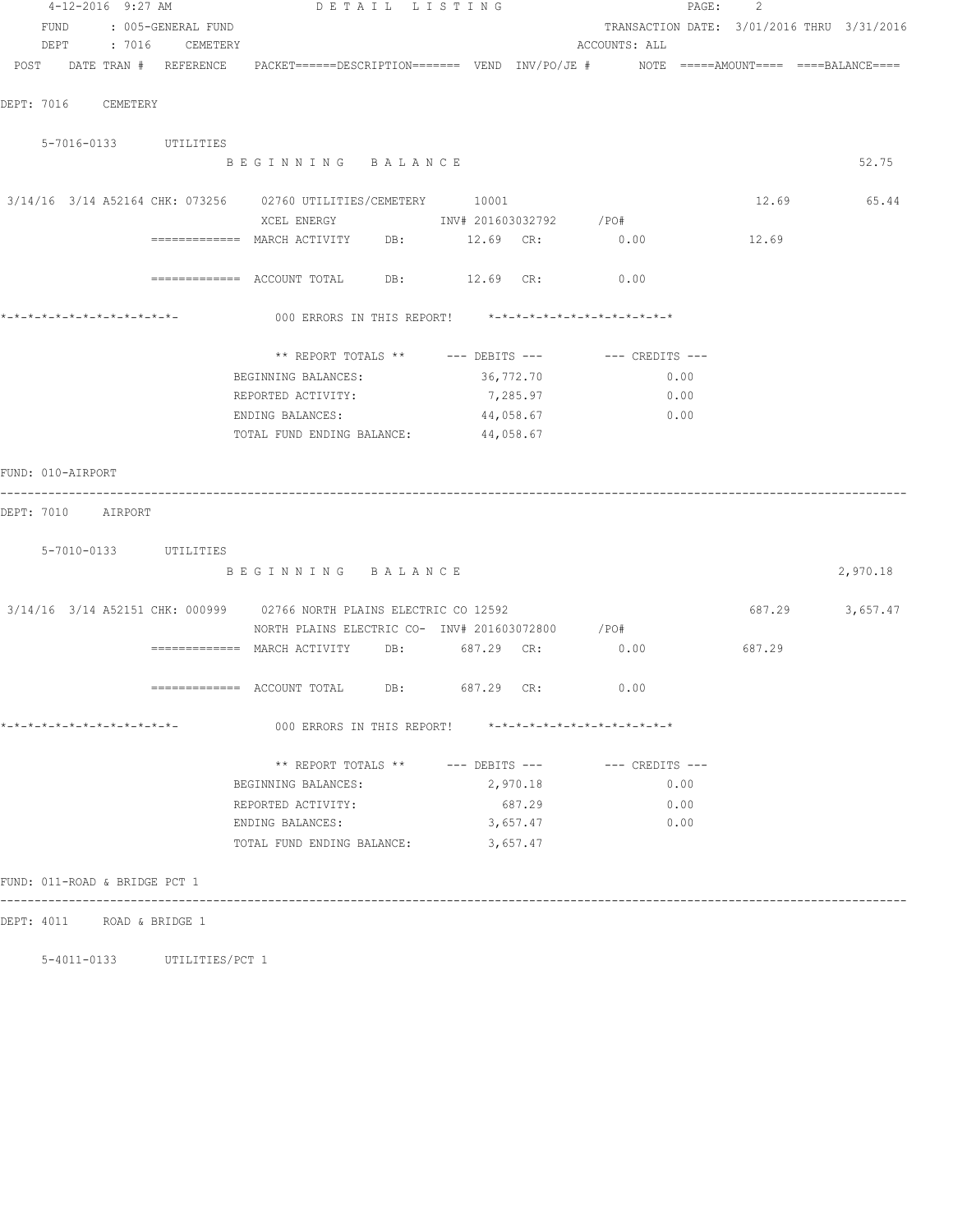| 4-12-2016 9:27 AM                                                                                               |                      |                                                         | DETAIL LISTING |           |               | PAGE: | -2                                         |                 |
|-----------------------------------------------------------------------------------------------------------------|----------------------|---------------------------------------------------------|----------------|-----------|---------------|-------|--------------------------------------------|-----------------|
| FUND                                                                                                            | : 005-GENERAL FUND   |                                                         |                |           |               |       | TRANSACTION DATE: 3/01/2016 THRU 3/31/2016 |                 |
|                                                                                                                 | DEPT : 7016 CEMETERY |                                                         |                |           | ACCOUNTS: ALL |       |                                            |                 |
| POST DATE TRAN # REFERENCE PACKET======DESCRIPTION======= VEND INV/PO/JE # NOTE =====AMOUNT==== ====BALANCE==== |                      |                                                         |                |           |               |       |                                            |                 |
|                                                                                                                 |                      |                                                         |                |           |               |       |                                            |                 |
| DEPT: 7016 CEMETERY                                                                                             |                      |                                                         |                |           |               |       |                                            |                 |
|                                                                                                                 |                      |                                                         |                |           |               |       |                                            |                 |
| 5-7016-0133 UTILITIES                                                                                           |                      |                                                         |                |           |               |       |                                            |                 |
|                                                                                                                 |                      | BEGINNING BALANCE                                       |                |           |               |       |                                            | 52.75           |
| 3/14/16 3/14 A52164 CHK: 073256 02760 UTILITIES/CEMETERY 10001                                                  |                      |                                                         |                |           |               |       | 12.69                                      | 65.44           |
|                                                                                                                 |                      |                                                         |                |           |               |       |                                            |                 |
|                                                                                                                 |                      | ============ MARCH ACTIVITY DB: 12.69 CR: 0.00          |                |           |               |       | 12.69                                      |                 |
|                                                                                                                 |                      |                                                         |                |           |               |       |                                            |                 |
|                                                                                                                 |                      | ============ ACCOUNT TOTAL DB: 12.69 CR: 0.00           |                |           |               |       |                                            |                 |
|                                                                                                                 |                      |                                                         |                |           |               |       |                                            |                 |
|                                                                                                                 |                      | 000 ERRORS IN THIS REPORT! *-*-*-*-*-*-*-*-*-*-*-*-*-*- |                |           |               |       |                                            |                 |
|                                                                                                                 |                      |                                                         |                |           |               |       |                                            |                 |
|                                                                                                                 |                      | ** REPORT TOTALS ** --- DEBITS --- -- CREDITS ---       |                |           |               |       |                                            |                 |
|                                                                                                                 |                      | BEGINNING BALANCES:                                     |                | 36,772.70 |               | 0.00  |                                            |                 |
|                                                                                                                 |                      | REPORTED ACTIVITY:                                      |                | 7,285.97  |               | 0.00  |                                            |                 |
|                                                                                                                 |                      | ENDING BALANCES:                                        |                | 44,058.67 |               | 0.00  |                                            |                 |
|                                                                                                                 |                      | TOTAL FUND ENDING BALANCE:                              | 44,058.67      |           |               |       |                                            |                 |
|                                                                                                                 |                      |                                                         |                |           |               |       |                                            |                 |
| FUND: 010-AIRPORT                                                                                               |                      |                                                         |                |           |               |       |                                            |                 |
| DEPT: 7010 AIRPORT                                                                                              |                      |                                                         |                |           |               |       |                                            |                 |
|                                                                                                                 |                      |                                                         |                |           |               |       |                                            |                 |
| 5-7010-0133 UTILITIES                                                                                           |                      |                                                         |                |           |               |       |                                            |                 |
|                                                                                                                 |                      | BEGINNING BALANCE                                       |                |           |               |       |                                            | 2,970.18        |
|                                                                                                                 |                      |                                                         |                |           |               |       |                                            |                 |
| 3/14/16 3/14 A52151 CHK: 000999 02766 NORTH PLAINS ELECTRIC CO 12592                                            |                      |                                                         |                |           |               |       |                                            | 687.29 3,657.47 |
|                                                                                                                 |                      | NORTH PLAINS ELECTRIC CO- INV# 201603072800 / PO#       |                |           |               |       |                                            |                 |
|                                                                                                                 |                      | ============= MARCH ACTIVITY DB: 687.29 CR:             |                |           | 0.00          |       | 687.29                                     |                 |
|                                                                                                                 |                      |                                                         |                |           |               |       |                                            |                 |
|                                                                                                                 |                      |                                                         | 687.29 CR:     |           | 0.00          |       |                                            |                 |
|                                                                                                                 |                      |                                                         |                |           |               |       |                                            |                 |
| *-*-*-*-*-*-*-*-*-*-*-*-*-*-                                                                                    |                      | 000 ERRORS IN THIS REPORT! *-*-*-*-*-*-*-*-*-*-*-*-*-*- |                |           |               |       |                                            |                 |
|                                                                                                                 |                      | ** REPORT TOTALS ** --- DEBITS --- -- CREDITS ---       |                |           |               |       |                                            |                 |
|                                                                                                                 |                      | BEGINNING BALANCES:                                     |                | 2,970.18  |               | 0.00  |                                            |                 |
|                                                                                                                 |                      | REPORTED ACTIVITY:                                      |                | 687.29    |               | 0.00  |                                            |                 |
|                                                                                                                 |                      | ENDING BALANCES:                                        |                | 3,657.47  |               | 0.00  |                                            |                 |
|                                                                                                                 |                      | TOTAL FUND ENDING BALANCE:                              |                | 3,657.47  |               |       |                                            |                 |
|                                                                                                                 |                      |                                                         |                |           |               |       |                                            |                 |
| FUND: 011-ROAD & BRIDGE PCT 1                                                                                   |                      |                                                         |                |           |               |       |                                            |                 |
|                                                                                                                 |                      |                                                         |                |           |               |       |                                            |                 |
| DEPT: 4011 ROAD & BRIDGE 1                                                                                      |                      |                                                         |                |           |               |       |                                            |                 |

5-4011-0133 UTILITIES/PCT 1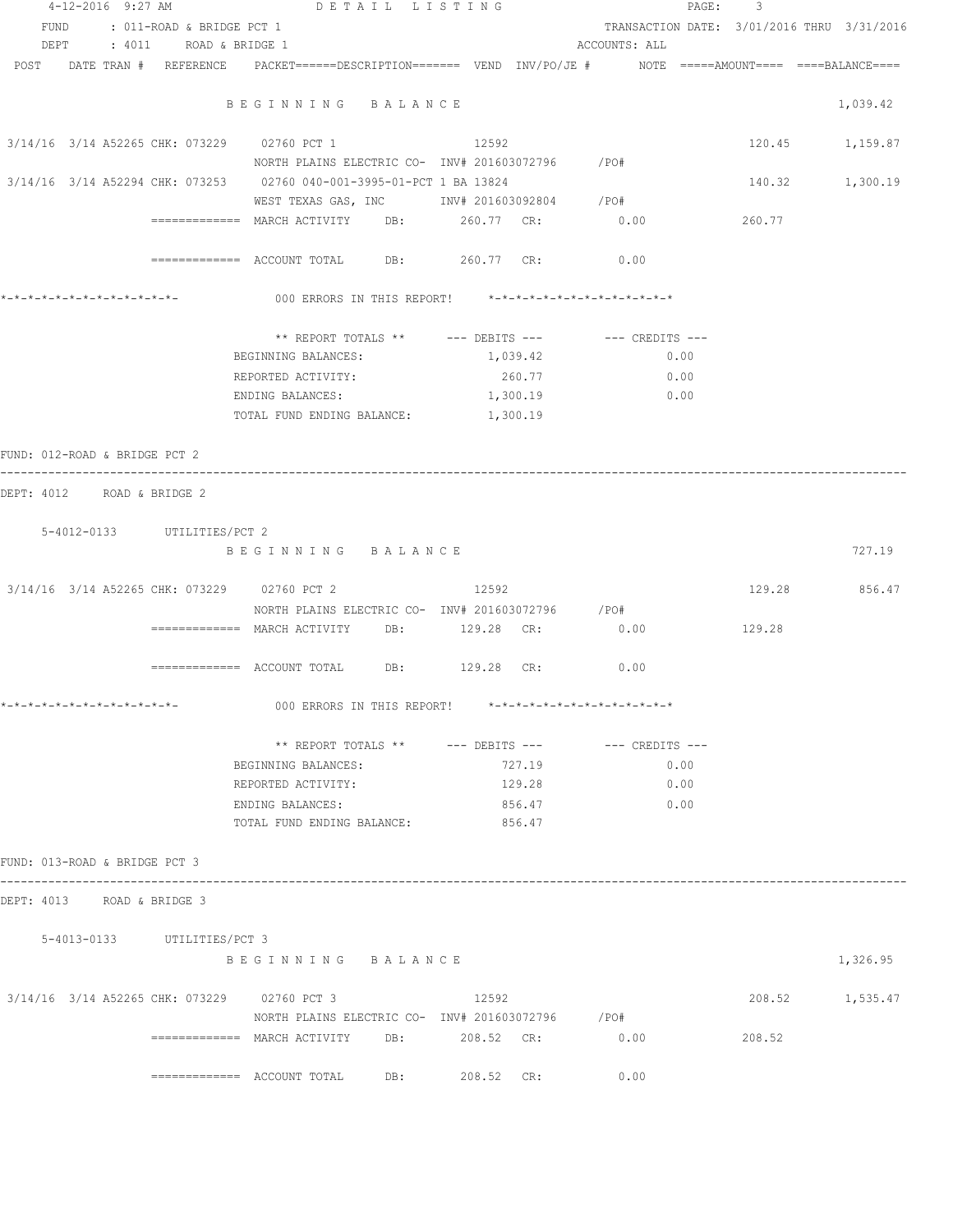| 4-12-2016 9:27 AM                                                                                               | DETAIL LISTING                                              |          | PAGE :                                     | $\overline{\phantom{a}}$ |                 |
|-----------------------------------------------------------------------------------------------------------------|-------------------------------------------------------------|----------|--------------------------------------------|--------------------------|-----------------|
| FUND : 011-ROAD & BRIDGE PCT 1                                                                                  |                                                             |          | TRANSACTION DATE: 3/01/2016 THRU 3/31/2016 |                          |                 |
| DEPT<br>: 4011 ROAD & BRIDGE 1                                                                                  |                                                             |          | ACCOUNTS: ALL                              |                          |                 |
| POST DATE TRAN # REFERENCE PACKET======DESCRIPTION======= VEND INV/PO/JE # NOTE =====AMOUNT==== ====BALANCE==== |                                                             |          |                                            |                          |                 |
|                                                                                                                 | BEGINNING BALANCE                                           |          |                                            |                          | 1,039.42        |
| 3/14/16 3/14 A52265 CHK: 073229 02760 PCT 1                                                                     |                                                             | 12592    |                                            |                          | 120.45 1,159.87 |
|                                                                                                                 | NORTH PLAINS ELECTRIC CO- INV# 201603072796 / PO#           |          |                                            |                          |                 |
| 3/14/16 3/14 A52294 CHK: 073253 02760 040-001-3995-01-PCT 1 BA 13824                                            |                                                             |          |                                            | 140.32 1,300.19          |                 |
|                                                                                                                 | WEST TEXAS GAS, INC MONTH 201603092804 / PO#                |          |                                            |                          |                 |
|                                                                                                                 |                                                             |          | 0.00                                       | 260.77                   |                 |
|                                                                                                                 | ============= ACCOUNT TOTAL DB: 260.77 CR:                  |          | 0.00                                       |                          |                 |
|                                                                                                                 | 000 ERRORS IN THIS REPORT! *-*-*-*-*-*-*-*-*-*-*-*-*-*-     |          |                                            |                          |                 |
|                                                                                                                 | ** REPORT TOTALS ** $---$ DEBITS --- $---$ CREDITS ---      |          |                                            |                          |                 |
|                                                                                                                 | BEGINNING BALANCES:                                         | 1,039.42 | 0.00                                       |                          |                 |
|                                                                                                                 | REPORTED ACTIVITY:                                          | 260.77   | 0.00                                       |                          |                 |
|                                                                                                                 | ENDING BALANCES:                                            | 1,300.19 | 0.00                                       |                          |                 |
|                                                                                                                 | TOTAL FUND ENDING BALANCE:                                  | 1,300.19 |                                            |                          |                 |
| FUND: 012-ROAD & BRIDGE PCT 2                                                                                   |                                                             |          |                                            |                          |                 |
| DEPT: 4012 ROAD & BRIDGE 2                                                                                      |                                                             |          |                                            |                          |                 |
| 5-4012-0133 UTILITIES/PCT 2                                                                                     |                                                             |          |                                            |                          |                 |
|                                                                                                                 | BEGINNING BALANCE                                           |          |                                            |                          | 727.19          |
| 3/14/16 3/14 A52265 CHK: 073229 02760 PCT 2                                                                     |                                                             | 12592    |                                            | 129.28 856.47            |                 |
|                                                                                                                 | NORTH PLAINS ELECTRIC CO- INV# 201603072796 / PO#           |          |                                            |                          |                 |
|                                                                                                                 | ============= MARCH ACTIVITY DB: $129.28$ CR: $0.00$ 129.28 |          |                                            |                          |                 |
|                                                                                                                 |                                                             |          |                                            |                          |                 |
|                                                                                                                 |                                                             |          | 0.00                                       |                          |                 |
| *_*_*_*_*_*_*_*_*_*_*_*_*_*_*_                                                                                  | 000 ERRORS IN THIS REPORT! *-*-*-*-*-*-*-*-*-*-*-*-*-*-     |          |                                            |                          |                 |
|                                                                                                                 | ** REPORT TOTALS ** --- DEBITS --- -- -- CREDITS ---        |          |                                            |                          |                 |
|                                                                                                                 | BEGINNING BALANCES:                                         | 727.19   | 0.00                                       |                          |                 |
|                                                                                                                 | REPORTED ACTIVITY:                                          | 129.28   | 0.00                                       |                          |                 |
|                                                                                                                 | ENDING BALANCES:                                            | 856.47   | 0.00                                       |                          |                 |
|                                                                                                                 | TOTAL FUND ENDING BALANCE: 856.47                           |          |                                            |                          |                 |
| FUND: 013-ROAD & BRIDGE PCT 3                                                                                   |                                                             |          |                                            |                          |                 |
| DEPT: 4013 ROAD & BRIDGE 3                                                                                      |                                                             |          |                                            |                          |                 |
| 5-4013-0133 UTILITIES/PCT 3                                                                                     |                                                             |          |                                            |                          |                 |
|                                                                                                                 | BEGINNING BALANCE                                           |          |                                            |                          | 1,326.95        |
|                                                                                                                 |                                                             |          |                                            |                          |                 |
| 3/14/16 3/14 A52265 CHK: 073229 02760 PCT 3 12592                                                               |                                                             |          |                                            |                          | 208.52 1,535.47 |
|                                                                                                                 | NORTH PLAINS ELECTRIC CO- INV# 201603072796 / PO#           |          |                                            |                          |                 |
|                                                                                                                 | ============ MARCH ACTIVITY DB: 208.52 CR: 0.00             |          |                                            | 208.52                   |                 |
|                                                                                                                 | ============ ACCOUNT TOTAL DB: 208.52 CR: 0.00              |          |                                            |                          |                 |